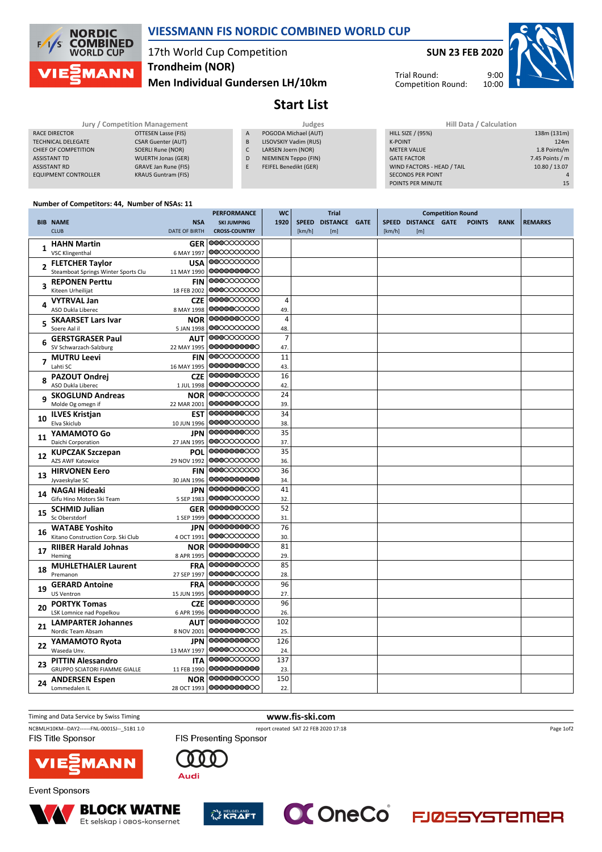

### **VIESSMANN FIS NORDIC COMBINED WORLD CUP**

# 17th World Cup Competition **Trondheim (NOR)**

**Men Individual Gundersen LH/10km**

**Start List**

|                             | Jury / Competition Management |                | Judges                | <b>Hill Data / Calculation</b> |  |  |  |  |
|-----------------------------|-------------------------------|----------------|-----------------------|--------------------------------|--|--|--|--|
| RACE DIRECTOR               | OTTESEN Lasse (FIS)           | $\overline{A}$ | POGODA Michael (AUT)  | <b>HILL SIZE / (95%)</b>       |  |  |  |  |
| <b>TECHNICAL DELEGATE</b>   | <b>CSAR Guenter (AUT)</b>     | B              | LISOVSKIY Vadim (RUS) | K-POINT                        |  |  |  |  |
| CHIEF OF COMPETITION        | SOERLI Rune (NOR)             |                | LARSEN Joern (NOR)    | <b>METER VALUE</b>             |  |  |  |  |
| <b>ASSISTANT TD</b>         | <b>WUERTH Jonas (GER)</b>     | D              | NIEMINEN Teppo (FIN)  | <b>GATE FACTOR</b>             |  |  |  |  |
| <b>ASSISTANT RD</b>         | GRAVE Jan Rune (FIS)          |                | FEIFEL Benedikt (GER) | WIND FACTORS - HEAD / TAIL     |  |  |  |  |
| <b>EQUIPMENT CONTROLLER</b> | <b>KRAUS Guntram (FIS)</b>    |                |                       | <b>SECONDS PER POINT</b>       |  |  |  |  |
|                             |                               |                |                       |                                |  |  |  |  |

| Hill Data / Calculation    |                 |
|----------------------------|-----------------|
| <b>HILL SIZE / (95%)</b>   | 138m (131m)     |
| <b>K-POINT</b>             | 124m            |
| <b>METER VALUE</b>         | 1.8 Points/m    |
| <b>GATE FACTOR</b>         | 7.45 Points / m |
| WIND FACTORS - HEAD / TAIL | 10.80 / 13.07   |
| <b>SECONDS PER POINT</b>   | Δ               |
| POINTS PER MINUTE          | 15              |
|                            |                 |

Trial Round: Competition Round:

### **Number of Competitors: 44, Number of NSAs: 11**

|    |                                                             |                          | PERFORMANCE              | <b>WC</b>      | <b>Trial</b> |               | <b>Competition Round</b> |              |                      |  |               |             |                |
|----|-------------------------------------------------------------|--------------------------|--------------------------|----------------|--------------|---------------|--------------------------|--------------|----------------------|--|---------------|-------------|----------------|
|    | <b>BIB NAME</b>                                             | <b>NSA</b>               | <b>SKI JUMPING</b>       | 1920           | <b>SPEED</b> | DISTANCE GATE |                          | <b>SPEED</b> | <b>DISTANCE GATE</b> |  | <b>POINTS</b> | <b>RANK</b> | <b>REMARKS</b> |
|    | <b>CLUB</b>                                                 | <b>DATE OF BIRTH</b>     | <b>CROSS-COUNTRY</b>     |                | [km/h]       | [m]           |                          | [km/h]       | [m]                  |  |               |             |                |
|    | <b>HAHN Martin</b>                                          | <b>GER</b>               | 0000000000               |                |              |               |                          |              |                      |  |               |             |                |
|    | <b>VSC Klingenthal</b>                                      | 6 MAY 1997               | 0000000000               |                |              |               |                          |              |                      |  |               |             |                |
|    | <b>FLETCHER Taylor</b>                                      | <b>USA</b>               | 0000000000               |                |              |               |                          |              |                      |  |               |             |                |
|    | Steamboat Springs Winter Sports Clu                         | 11 MAY 1990              | 0000000000               |                |              |               |                          |              |                      |  |               |             |                |
|    | <b>REPONEN Perttu</b>                                       | <b>FIN</b>               | 0000000000               |                |              |               |                          |              |                      |  |               |             |                |
|    | Kiteen Urheilijat                                           | 18 FEB 2002              | 0000000000               |                |              |               |                          |              |                      |  |               |             |                |
|    | <b>VYTRVAL Jan</b>                                          | <b>CZE</b>               | 0000000000               | $\overline{4}$ |              |               |                          |              |                      |  |               |             |                |
|    | ASO Dukla Liberec                                           | 8 MAY 1998               | 0000000000               | 49.            |              |               |                          |              |                      |  |               |             |                |
|    | <b>SKAARSET Lars Ivar</b>                                   | <b>NOR</b>               | 0000000000               | $\overline{4}$ |              |               |                          |              |                      |  |               |             |                |
|    | Soere Aal il                                                | 5 JAN 1998               | 0000000000               | 48.            |              |               |                          |              |                      |  |               |             |                |
|    | <b>GERSTGRASER Paul</b>                                     | <b>AUT</b>               | 0000000000               | $\overline{7}$ |              |               |                          |              |                      |  |               |             |                |
|    | SV Schwarzach-Salzburg                                      | 22 MAY 1995              | 0000000000               | 47.            |              |               |                          |              |                      |  |               |             |                |
|    | <b>MUTRU Leevi</b>                                          | <b>FIN</b>               | 0000000000               | 11             |              |               |                          |              |                      |  |               |             |                |
|    | Lahti SC                                                    | 16 MAY 1995              | 0000000000               | 43.            |              |               |                          |              |                      |  |               |             |                |
|    | <b>PAZOUT Ondrej</b>                                        | <b>CZE</b>               | 0000000000               | 16             |              |               |                          |              |                      |  |               |             |                |
|    | ASO Dukla Liberec                                           | 1 JUL 1998               | 0000000000               | 42             |              |               |                          |              |                      |  |               |             |                |
| q  | <b>SKOGLUND Andreas</b>                                     | <b>NOR</b>               | 0000000000               | 24             |              |               |                          |              |                      |  |               |             |                |
|    | Molde Og omegn if                                           | 22 MAR 2001              | 0000000000               | 39.            |              |               |                          |              |                      |  |               |             |                |
| 10 | <b>ILVES Kristjan</b>                                       | EST                      | 0000000000               | 34             |              |               |                          |              |                      |  |               |             |                |
|    | Elva Skiclub                                                | 10 JUN 1996              | 0000000000               | 38.            |              |               |                          |              |                      |  |               |             |                |
| 11 | YAMAMOTO Go                                                 | <b>JPN</b>               | 0000000000               | 35             |              |               |                          |              |                      |  |               |             |                |
|    | Daichi Corporation                                          | 27 JAN 1995              | 0000000000               | 37.            |              |               |                          |              |                      |  |               |             |                |
| 12 | <b>KUPCZAK Szczepan</b>                                     | POL                      | 0000000000               | 35             |              |               |                          |              |                      |  |               |             |                |
|    | AZS AWF Katowice                                            | 29 NOV 1992              | 0000000000               | 36.            |              |               |                          |              |                      |  |               |             |                |
| 13 | <b>HIRVONEN Eero</b>                                        | <b>FIN</b>               | 0000000000               | 36             |              |               |                          |              |                      |  |               |             |                |
|    | Jyvaeskylae SC                                              | 30 JAN 1996              | 0000000000               | 34.            |              |               |                          |              |                      |  |               |             |                |
| 14 | NAGAI Hideaki                                               | <b>JPN</b>               | 0000000000               | 41             |              |               |                          |              |                      |  |               |             |                |
|    | Gifu Hino Motors Ski Team                                   | 5 SEP 1983               | 0000000000               | 32.            |              |               |                          |              |                      |  |               |             |                |
| 15 | <b>SCHMID Julian</b>                                        | <b>GER</b>               | 0000000000<br>0000000000 | 52             |              |               |                          |              |                      |  |               |             |                |
|    | Sc Oberstdorf                                               | 1 SEP 1999               | 0000000000               | 31             |              |               |                          |              |                      |  |               |             |                |
| 16 | <b>WATABE Yoshito</b><br>Kitano Construction Corp. Ski Club | <b>JPN</b><br>4 OCT 1991 | 0000000000               | 76             |              |               |                          |              |                      |  |               |             |                |
|    |                                                             |                          | 0000000000               | 30.<br>81      |              |               |                          |              |                      |  |               |             |                |
| 17 | <b>RIIBER Harald Johnas</b><br>Heming                       | <b>NOR</b><br>8 APR 1995 | 00000000000              | 29.            |              |               |                          |              |                      |  |               |             |                |
|    |                                                             | <b>FRA</b>               | 0000000000               | 85             |              |               |                          |              |                      |  |               |             |                |
| 18 | <b>MUHLETHALER Laurent</b><br>Premanon                      | 27 SEP 1997              | 0000000000               | 28.            |              |               |                          |              |                      |  |               |             |                |
|    | <b>GERARD Antoine</b>                                       | <b>FRA</b>               | 0000000000               | 96             |              |               |                          |              |                      |  |               |             |                |
| 19 | <b>US Ventron</b>                                           | 15 JUN 1995              | 0000000000               | 27.            |              |               |                          |              |                      |  |               |             |                |
|    | <b>PORTYK Tomas</b>                                         | <b>CZE</b>               | 0000000000               | 96             |              |               |                          |              |                      |  |               |             |                |
| 20 | LSK Lomnice nad Popelkou                                    | 6 APR 1996               | 0000000000               | 26.            |              |               |                          |              |                      |  |               |             |                |
|    | <b>LAMPARTER Johannes</b>                                   | <b>AUT</b>               | 0000000000               | 102            |              |               |                          |              |                      |  |               |             |                |
| 21 | Nordic Team Absam                                           | 8 NOV 2001               | 0000000000               | 25.            |              |               |                          |              |                      |  |               |             |                |
|    | YAMAMOTO Ryota                                              | <b>JPN</b>               | 0000000000               | 126            |              |               |                          |              |                      |  |               |             |                |
| 22 | Waseda Unv.                                                 | 13 MAY 1997              | 0000000000               | 24             |              |               |                          |              |                      |  |               |             |                |
|    | <b>PITTIN Alessandro</b>                                    | <b>ITA</b>               | 0000000000               | 137            |              |               |                          |              |                      |  |               |             |                |
| 23 | <b>GRUPPO SCIATORI FIAMME GIALLE</b>                        | 11 FEB 1990              | 0000000000               | 23.            |              |               |                          |              |                      |  |               |             |                |
| 24 | <b>ANDERSEN Espen</b>                                       | <b>NOR</b>               | 0000000000               | 150            |              |               |                          |              |                      |  |               |             |                |
|    | Lommedalen IL                                               | 28 OCT 1993              | 0000000000               | 22.            |              |               |                          |              |                      |  |               |             |                |

#### Timing and Data Service by Swiss Timing **www.fis-ski.com** NCBMLH10KM--DAY2------FNL-0001SJ--\_51B1 1.0 report created SAT 22 FEB 2020 17:18 Page 1of2FIS Title Sponsor FIS Presenting Sponsor  $0<sub>0</sub>$ 0 **VIE MANN** Audi



**Event Sponsors**